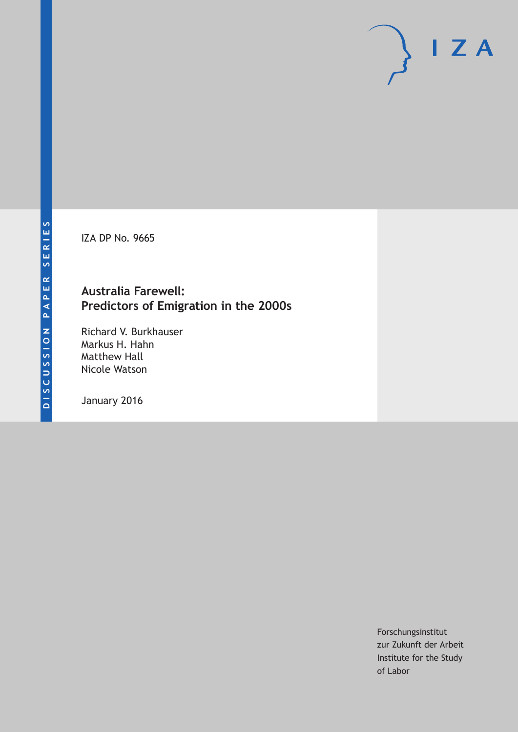IZA DP No. 9665

### **Australia Farewell: Predictors of Emigration in the 2000s**

Richard V. Burkhauser Markus H. Hahn Matthew Hall Nicole Watson

January 2016

Forschungsinstitut zur Zukunft der Arbeit Institute for the Study of Labor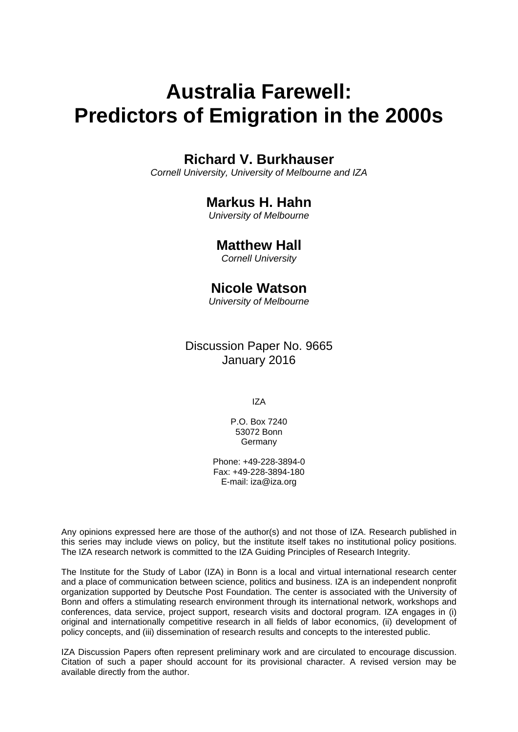# **Australia Farewell: Predictors of Emigration in the 2000s**

### **Richard V. Burkhauser**

*Cornell University, University of Melbourne and IZA* 

### **Markus H. Hahn**

*University of Melbourne* 

### **Matthew Hall**

*Cornell University*

### **Nicole Watson**

*University of Melbourne*

Discussion Paper No. 9665 January 2016

IZA

P.O. Box 7240 53072 Bonn **Germany** 

Phone: +49-228-3894-0 Fax: +49-228-3894-180 E-mail: iza@iza.org

Any opinions expressed here are those of the author(s) and not those of IZA. Research published in this series may include views on policy, but the institute itself takes no institutional policy positions. The IZA research network is committed to the IZA Guiding Principles of Research Integrity.

The Institute for the Study of Labor (IZA) in Bonn is a local and virtual international research center and a place of communication between science, politics and business. IZA is an independent nonprofit organization supported by Deutsche Post Foundation. The center is associated with the University of Bonn and offers a stimulating research environment through its international network, workshops and conferences, data service, project support, research visits and doctoral program. IZA engages in (i) original and internationally competitive research in all fields of labor economics, (ii) development of policy concepts, and (iii) dissemination of research results and concepts to the interested public.

IZA Discussion Papers often represent preliminary work and are circulated to encourage discussion. Citation of such a paper should account for its provisional character. A revised version may be available directly from the author.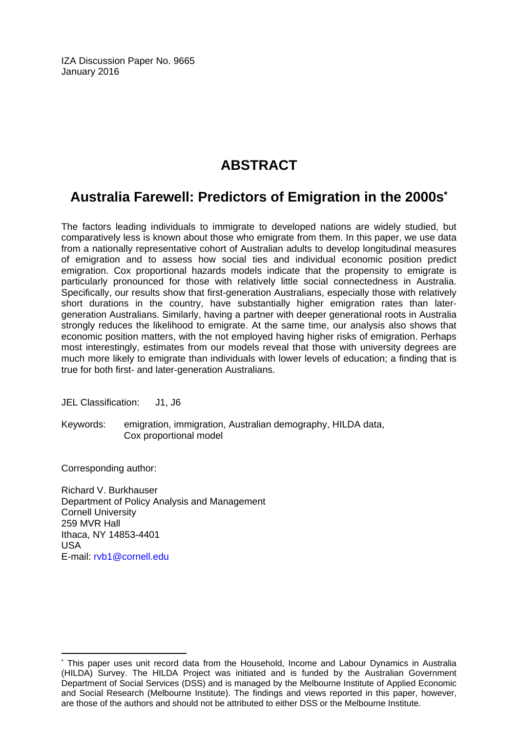IZA Discussion Paper No. 9665 January 2016

# **ABSTRACT**

## **Australia Farewell: Predictors of Emigration in the 2000s\***

The factors leading individuals to immigrate to developed nations are widely studied, but comparatively less is known about those who emigrate from them. In this paper, we use data from a nationally representative cohort of Australian adults to develop longitudinal measures of emigration and to assess how social ties and individual economic position predict emigration. Cox proportional hazards models indicate that the propensity to emigrate is particularly pronounced for those with relatively little social connectedness in Australia. Specifically, our results show that first-generation Australians, especially those with relatively short durations in the country, have substantially higher emigration rates than latergeneration Australians. Similarly, having a partner with deeper generational roots in Australia strongly reduces the likelihood to emigrate. At the same time, our analysis also shows that economic position matters, with the not employed having higher risks of emigration. Perhaps most interestingly, estimates from our models reveal that those with university degrees are much more likely to emigrate than individuals with lower levels of education; a finding that is true for both first- and later-generation Australians.

JEL Classification: J1, J6

Keywords: emigration, immigration, Australian demography, HILDA data, Cox proportional model

Corresponding author:

 $\overline{\phantom{a}}$ 

Richard V. Burkhauser Department of Policy Analysis and Management Cornell University 259 MVR Hall Ithaca, NY 14853-4401 USA E-mail: rvb1@cornell.edu

<sup>\*</sup> This paper uses unit record data from the Household, Income and Labour Dynamics in Australia (HILDA) Survey. The HILDA Project was initiated and is funded by the Australian Government Department of Social Services (DSS) and is managed by the Melbourne Institute of Applied Economic and Social Research (Melbourne Institute). The findings and views reported in this paper, however, are those of the authors and should not be attributed to either DSS or the Melbourne Institute.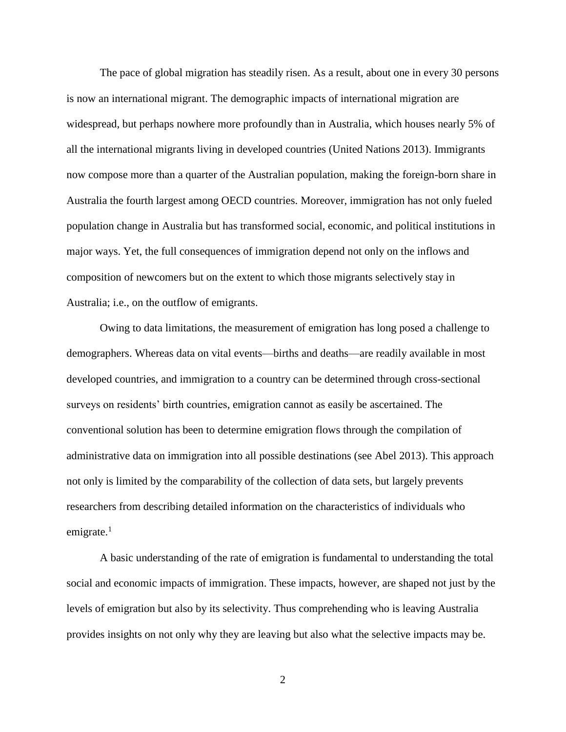The pace of global migration has steadily risen. As a result, about one in every 30 persons is now an international migrant. The demographic impacts of international migration are widespread, but perhaps nowhere more profoundly than in Australia, which houses nearly 5% of all the international migrants living in developed countries (United Nations 2013). Immigrants now compose more than a quarter of the Australian population, making the foreign-born share in Australia the fourth largest among OECD countries. Moreover, immigration has not only fueled population change in Australia but has transformed social, economic, and political institutions in major ways. Yet, the full consequences of immigration depend not only on the inflows and composition of newcomers but on the extent to which those migrants selectively stay in Australia; i.e., on the outflow of emigrants.

Owing to data limitations, the measurement of emigration has long posed a challenge to demographers. Whereas data on vital events—births and deaths—are readily available in most developed countries, and immigration to a country can be determined through cross-sectional surveys on residents' birth countries, emigration cannot as easily be ascertained. The conventional solution has been to determine emigration flows through the compilation of administrative data on immigration into all possible destinations (see Abel 2013). This approach not only is limited by the comparability of the collection of data sets, but largely prevents researchers from describing detailed information on the characteristics of individuals who emigrate. $1$ 

A basic understanding of the rate of emigration is fundamental to understanding the total social and economic impacts of immigration. These impacts, however, are shaped not just by the levels of emigration but also by its selectivity. Thus comprehending who is leaving Australia provides insights on not only why they are leaving but also what the selective impacts may be.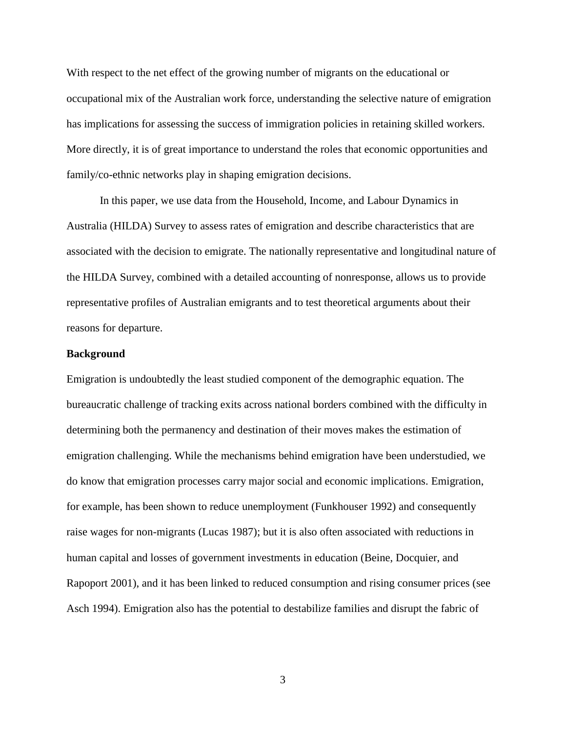With respect to the net effect of the growing number of migrants on the educational or occupational mix of the Australian work force, understanding the selective nature of emigration has implications for assessing the success of immigration policies in retaining skilled workers. More directly, it is of great importance to understand the roles that economic opportunities and family/co-ethnic networks play in shaping emigration decisions.

In this paper, we use data from the Household, Income, and Labour Dynamics in Australia (HILDA) Survey to assess rates of emigration and describe characteristics that are associated with the decision to emigrate. The nationally representative and longitudinal nature of the HILDA Survey, combined with a detailed accounting of nonresponse, allows us to provide representative profiles of Australian emigrants and to test theoretical arguments about their reasons for departure.

#### **Background**

Emigration is undoubtedly the least studied component of the demographic equation. The bureaucratic challenge of tracking exits across national borders combined with the difficulty in determining both the permanency and destination of their moves makes the estimation of emigration challenging. While the mechanisms behind emigration have been understudied, we do know that emigration processes carry major social and economic implications. Emigration, for example, has been shown to reduce unemployment (Funkhouser 1992) and consequently raise wages for non-migrants (Lucas 1987); but it is also often associated with reductions in human capital and losses of government investments in education (Beine, Docquier, and Rapoport 2001), and it has been linked to reduced consumption and rising consumer prices (see Asch 1994). Emigration also has the potential to destabilize families and disrupt the fabric of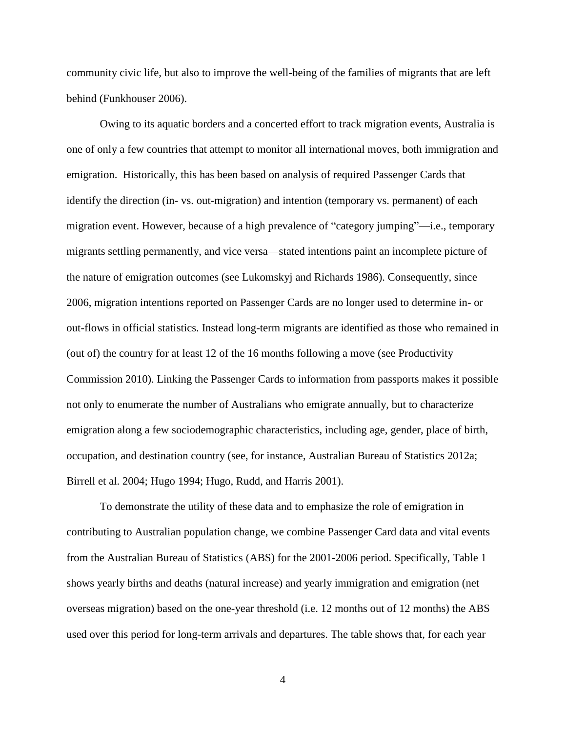community civic life, but also to improve the well-being of the families of migrants that are left behind (Funkhouser 2006).

Owing to its aquatic borders and a concerted effort to track migration events, Australia is one of only a few countries that attempt to monitor all international moves, both immigration and emigration. Historically, this has been based on analysis of required Passenger Cards that identify the direction (in- vs. out-migration) and intention (temporary vs. permanent) of each migration event. However, because of a high prevalence of "category jumping"—i.e., temporary migrants settling permanently, and vice versa—stated intentions paint an incomplete picture of the nature of emigration outcomes (see Lukomskyj and Richards 1986). Consequently, since 2006, migration intentions reported on Passenger Cards are no longer used to determine in- or out-flows in official statistics. Instead long-term migrants are identified as those who remained in (out of) the country for at least 12 of the 16 months following a move (see Productivity Commission 2010). Linking the Passenger Cards to information from passports makes it possible not only to enumerate the number of Australians who emigrate annually, but to characterize emigration along a few sociodemographic characteristics, including age, gender, place of birth, occupation, and destination country (see, for instance, Australian Bureau of Statistics 2012a; Birrell et al. 2004; Hugo 1994; Hugo, Rudd, and Harris 2001).

To demonstrate the utility of these data and to emphasize the role of emigration in contributing to Australian population change, we combine Passenger Card data and vital events from the Australian Bureau of Statistics (ABS) for the 2001-2006 period. Specifically, Table 1 shows yearly births and deaths (natural increase) and yearly immigration and emigration (net overseas migration) based on the one-year threshold (i.e. 12 months out of 12 months) the ABS used over this period for long-term arrivals and departures. The table shows that, for each year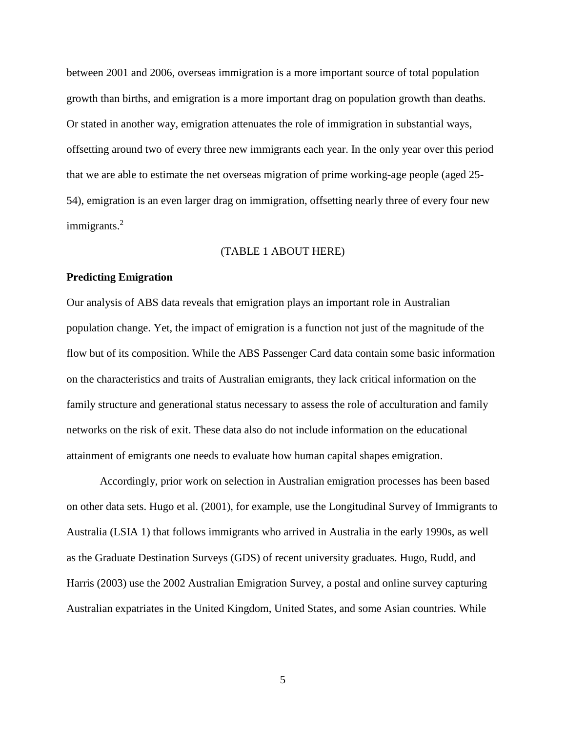between 2001 and 2006, overseas immigration is a more important source of total population growth than births, and emigration is a more important drag on population growth than deaths. Or stated in another way, emigration attenuates the role of immigration in substantial ways, offsetting around two of every three new immigrants each year. In the only year over this period that we are able to estimate the net overseas migration of prime working-age people (aged 25- 54), emigration is an even larger drag on immigration, offsetting nearly three of every four new immigrants.<sup>2</sup>

#### (TABLE 1 ABOUT HERE)

#### **Predicting Emigration**

Our analysis of ABS data reveals that emigration plays an important role in Australian population change. Yet, the impact of emigration is a function not just of the magnitude of the flow but of its composition. While the ABS Passenger Card data contain some basic information on the characteristics and traits of Australian emigrants, they lack critical information on the family structure and generational status necessary to assess the role of acculturation and family networks on the risk of exit. These data also do not include information on the educational attainment of emigrants one needs to evaluate how human capital shapes emigration.

Accordingly, prior work on selection in Australian emigration processes has been based on other data sets. Hugo et al. (2001), for example, use the Longitudinal Survey of Immigrants to Australia (LSIA 1) that follows immigrants who arrived in Australia in the early 1990s, as well as the Graduate Destination Surveys (GDS) of recent university graduates. Hugo, Rudd, and Harris (2003) use the 2002 Australian Emigration Survey, a postal and online survey capturing Australian expatriates in the United Kingdom, United States, and some Asian countries. While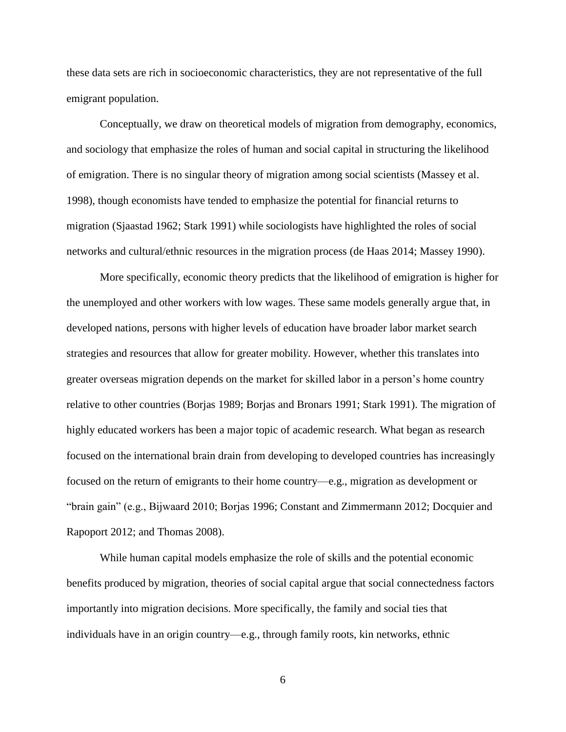these data sets are rich in socioeconomic characteristics, they are not representative of the full emigrant population.

Conceptually, we draw on theoretical models of migration from demography, economics, and sociology that emphasize the roles of human and social capital in structuring the likelihood of emigration. There is no singular theory of migration among social scientists (Massey et al. 1998), though economists have tended to emphasize the potential for financial returns to migration (Sjaastad 1962; Stark 1991) while sociologists have highlighted the roles of social networks and cultural/ethnic resources in the migration process (de Haas 2014; Massey 1990).

More specifically, economic theory predicts that the likelihood of emigration is higher for the unemployed and other workers with low wages. These same models generally argue that, in developed nations, persons with higher levels of education have broader labor market search strategies and resources that allow for greater mobility. However, whether this translates into greater overseas migration depends on the market for skilled labor in a person's home country relative to other countries (Borjas 1989; Borjas and Bronars 1991; Stark 1991). The migration of highly educated workers has been a major topic of academic research. What began as research focused on the international brain drain from developing to developed countries has increasingly focused on the return of emigrants to their home country—e.g., migration as development or "brain gain" (e.g., Bijwaard 2010; Borjas 1996; Constant and Zimmermann 2012; Docquier and Rapoport 2012; and Thomas 2008).

While human capital models emphasize the role of skills and the potential economic benefits produced by migration, theories of social capital argue that social connectedness factors importantly into migration decisions. More specifically, the family and social ties that individuals have in an origin country—e.g., through family roots, kin networks, ethnic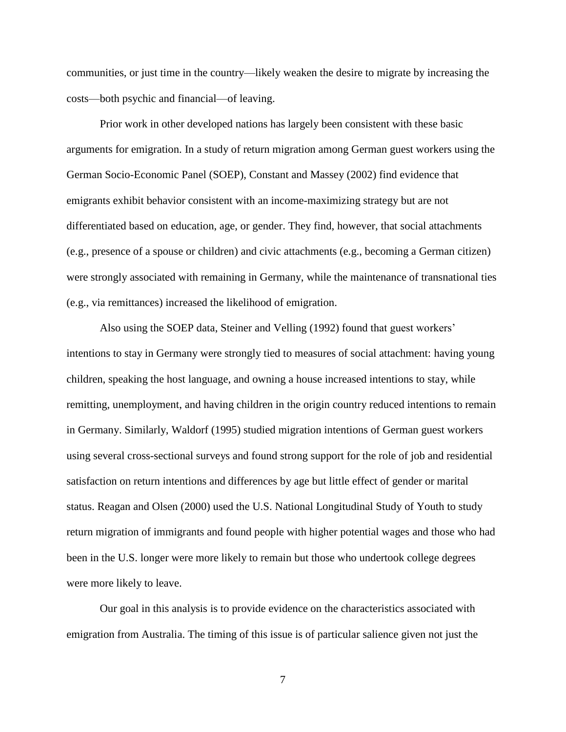communities, or just time in the country—likely weaken the desire to migrate by increasing the costs—both psychic and financial—of leaving.

Prior work in other developed nations has largely been consistent with these basic arguments for emigration. In a study of return migration among German guest workers using the German Socio-Economic Panel (SOEP), Constant and Massey (2002) find evidence that emigrants exhibit behavior consistent with an income-maximizing strategy but are not differentiated based on education, age, or gender. They find, however, that social attachments (e.g., presence of a spouse or children) and civic attachments (e.g., becoming a German citizen) were strongly associated with remaining in Germany, while the maintenance of transnational ties (e.g., via remittances) increased the likelihood of emigration.

Also using the SOEP data, Steiner and Velling (1992) found that guest workers' intentions to stay in Germany were strongly tied to measures of social attachment: having young children, speaking the host language, and owning a house increased intentions to stay, while remitting, unemployment, and having children in the origin country reduced intentions to remain in Germany. Similarly, Waldorf (1995) studied migration intentions of German guest workers using several cross-sectional surveys and found strong support for the role of job and residential satisfaction on return intentions and differences by age but little effect of gender or marital status. Reagan and Olsen (2000) used the U.S. National Longitudinal Study of Youth to study return migration of immigrants and found people with higher potential wages and those who had been in the U.S. longer were more likely to remain but those who undertook college degrees were more likely to leave.

Our goal in this analysis is to provide evidence on the characteristics associated with emigration from Australia. The timing of this issue is of particular salience given not just the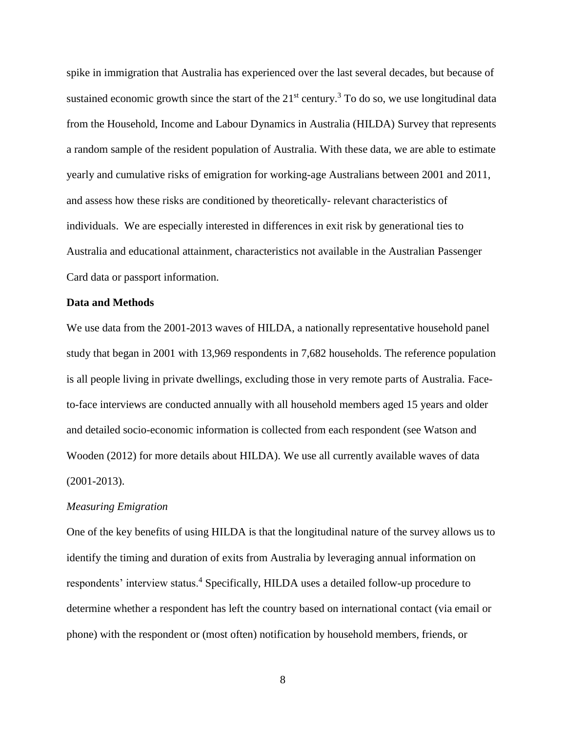spike in immigration that Australia has experienced over the last several decades, but because of sustained economic growth since the start of the  $21<sup>st</sup>$  century.<sup>3</sup> To do so, we use longitudinal data from the Household, Income and Labour Dynamics in Australia (HILDA) Survey that represents a random sample of the resident population of Australia. With these data, we are able to estimate yearly and cumulative risks of emigration for working-age Australians between 2001 and 2011, and assess how these risks are conditioned by theoretically- relevant characteristics of individuals. We are especially interested in differences in exit risk by generational ties to Australia and educational attainment, characteristics not available in the Australian Passenger Card data or passport information.

#### **Data and Methods**

We use data from the 2001-2013 waves of HILDA, a nationally representative household panel study that began in 2001 with 13,969 respondents in 7,682 households. The reference population is all people living in private dwellings, excluding those in very remote parts of Australia. Faceto-face interviews are conducted annually with all household members aged 15 years and older and detailed socio-economic information is collected from each respondent (see Watson and Wooden (2012) for more details about HILDA). We use all currently available waves of data (2001-2013).

#### *Measuring Emigration*

One of the key benefits of using HILDA is that the longitudinal nature of the survey allows us to identify the timing and duration of exits from Australia by leveraging annual information on respondents' interview status.<sup>4</sup> Specifically, HILDA uses a detailed follow-up procedure to determine whether a respondent has left the country based on international contact (via email or phone) with the respondent or (most often) notification by household members, friends, or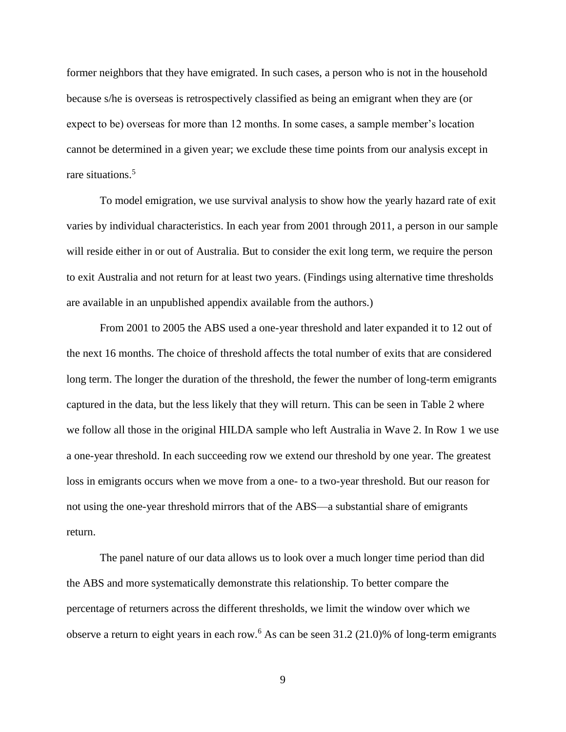former neighbors that they have emigrated. In such cases, a person who is not in the household because s/he is overseas is retrospectively classified as being an emigrant when they are (or expect to be) overseas for more than 12 months. In some cases, a sample member's location cannot be determined in a given year; we exclude these time points from our analysis except in rare situations.<sup>5</sup>

To model emigration, we use survival analysis to show how the yearly hazard rate of exit varies by individual characteristics. In each year from 2001 through 2011, a person in our sample will reside either in or out of Australia. But to consider the exit long term, we require the person to exit Australia and not return for at least two years. (Findings using alternative time thresholds are available in an unpublished appendix available from the authors.)

From 2001 to 2005 the ABS used a one-year threshold and later expanded it to 12 out of the next 16 months. The choice of threshold affects the total number of exits that are considered long term. The longer the duration of the threshold, the fewer the number of long-term emigrants captured in the data, but the less likely that they will return. This can be seen in Table 2 where we follow all those in the original HILDA sample who left Australia in Wave 2. In Row 1 we use a one-year threshold. In each succeeding row we extend our threshold by one year. The greatest loss in emigrants occurs when we move from a one- to a two-year threshold. But our reason for not using the one-year threshold mirrors that of the ABS—a substantial share of emigrants return.

The panel nature of our data allows us to look over a much longer time period than did the ABS and more systematically demonstrate this relationship. To better compare the percentage of returners across the different thresholds, we limit the window over which we observe a return to eight years in each row.<sup>6</sup> As can be seen  $31.2$  (21.0)% of long-term emigrants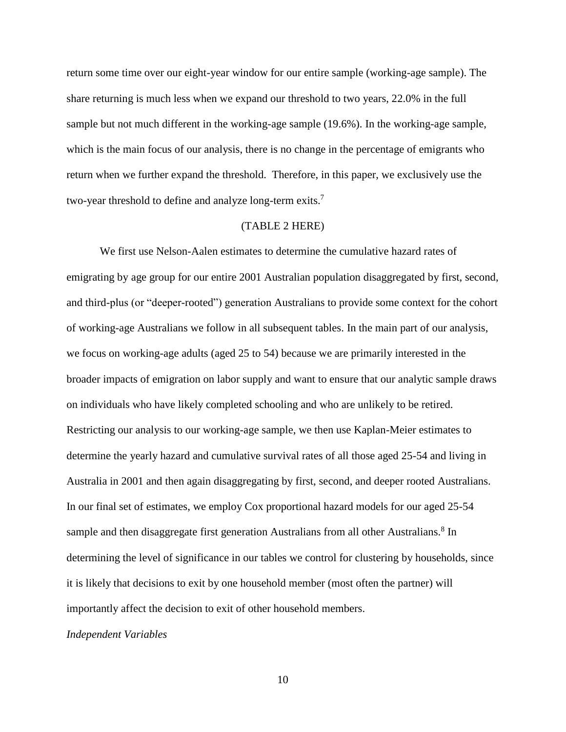return some time over our eight-year window for our entire sample (working-age sample). The share returning is much less when we expand our threshold to two years, 22.0% in the full sample but not much different in the working-age sample (19.6%). In the working-age sample, which is the main focus of our analysis, there is no change in the percentage of emigrants who return when we further expand the threshold. Therefore, in this paper, we exclusively use the two-year threshold to define and analyze long-term exits.<sup>7</sup>

#### (TABLE 2 HERE)

We first use Nelson-Aalen estimates to determine the cumulative hazard rates of emigrating by age group for our entire 2001 Australian population disaggregated by first, second, and third-plus (or "deeper-rooted") generation Australians to provide some context for the cohort of working-age Australians we follow in all subsequent tables. In the main part of our analysis, we focus on working-age adults (aged 25 to 54) because we are primarily interested in the broader impacts of emigration on labor supply and want to ensure that our analytic sample draws on individuals who have likely completed schooling and who are unlikely to be retired. Restricting our analysis to our working-age sample, we then use Kaplan-Meier estimates to determine the yearly hazard and cumulative survival rates of all those aged 25-54 and living in Australia in 2001 and then again disaggregating by first, second, and deeper rooted Australians. In our final set of estimates, we employ Cox proportional hazard models for our aged 25-54 sample and then disaggregate first generation Australians from all other Australians.<sup>8</sup> In determining the level of significance in our tables we control for clustering by households, since it is likely that decisions to exit by one household member (most often the partner) will importantly affect the decision to exit of other household members.

#### *Independent Variables*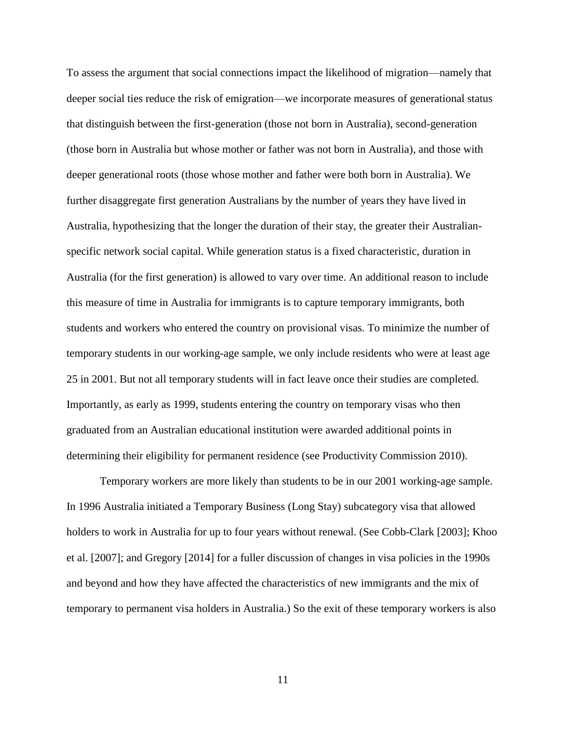To assess the argument that social connections impact the likelihood of migration—namely that deeper social ties reduce the risk of emigration—we incorporate measures of generational status that distinguish between the first-generation (those not born in Australia), second-generation (those born in Australia but whose mother or father was not born in Australia), and those with deeper generational roots (those whose mother and father were both born in Australia). We further disaggregate first generation Australians by the number of years they have lived in Australia, hypothesizing that the longer the duration of their stay, the greater their Australianspecific network social capital. While generation status is a fixed characteristic, duration in Australia (for the first generation) is allowed to vary over time. An additional reason to include this measure of time in Australia for immigrants is to capture temporary immigrants, both students and workers who entered the country on provisional visas. To minimize the number of temporary students in our working-age sample, we only include residents who were at least age 25 in 2001. But not all temporary students will in fact leave once their studies are completed. Importantly, as early as 1999, students entering the country on temporary visas who then graduated from an Australian educational institution were awarded additional points in determining their eligibility for permanent residence (see Productivity Commission 2010).

Temporary workers are more likely than students to be in our 2001 working-age sample. In 1996 Australia initiated a Temporary Business (Long Stay) subcategory visa that allowed holders to work in Australia for up to four years without renewal. (See Cobb-Clark [2003]; Khoo et al. [2007]; and Gregory [2014] for a fuller discussion of changes in visa policies in the 1990s and beyond and how they have affected the characteristics of new immigrants and the mix of temporary to permanent visa holders in Australia.) So the exit of these temporary workers is also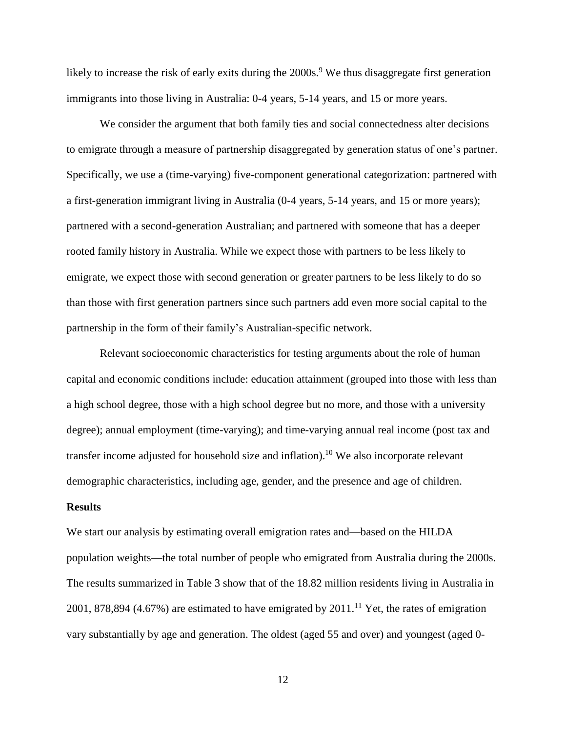likely to increase the risk of early exits during the 2000s.<sup>9</sup> We thus disaggregate first generation immigrants into those living in Australia: 0-4 years, 5-14 years, and 15 or more years.

We consider the argument that both family ties and social connectedness alter decisions to emigrate through a measure of partnership disaggregated by generation status of one's partner. Specifically, we use a (time-varying) five-component generational categorization: partnered with a first-generation immigrant living in Australia (0-4 years, 5-14 years, and 15 or more years); partnered with a second-generation Australian; and partnered with someone that has a deeper rooted family history in Australia. While we expect those with partners to be less likely to emigrate, we expect those with second generation or greater partners to be less likely to do so than those with first generation partners since such partners add even more social capital to the partnership in the form of their family's Australian-specific network.

Relevant socioeconomic characteristics for testing arguments about the role of human capital and economic conditions include: education attainment (grouped into those with less than a high school degree, those with a high school degree but no more, and those with a university degree); annual employment (time-varying); and time-varying annual real income (post tax and transfer income adjusted for household size and inflation). <sup>10</sup> We also incorporate relevant demographic characteristics, including age, gender, and the presence and age of children.

#### **Results**

We start our analysis by estimating overall emigration rates and—based on the HILDA population weights—the total number of people who emigrated from Australia during the 2000s. The results summarized in Table 3 show that of the 18.82 million residents living in Australia in 2001, 878,894 (4.67%) are estimated to have emigrated by  $2011$ .<sup>11</sup> Yet, the rates of emigration vary substantially by age and generation. The oldest (aged 55 and over) and youngest (aged 0-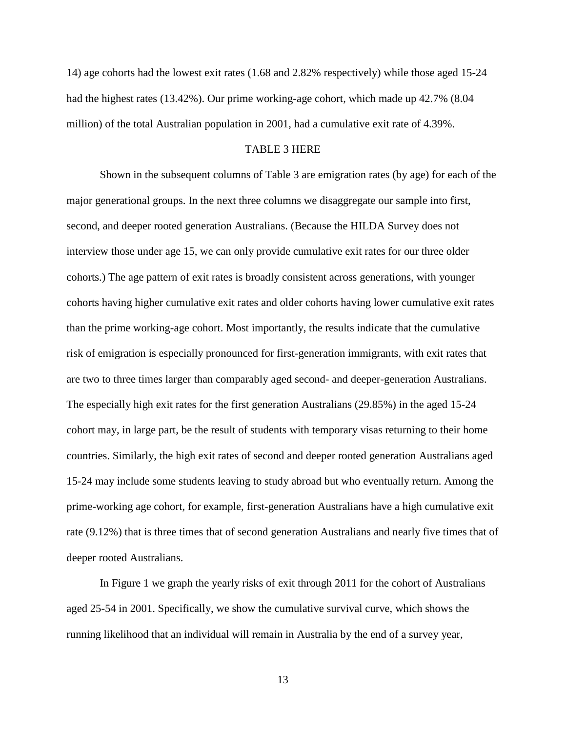14) age cohorts had the lowest exit rates (1.68 and 2.82% respectively) while those aged 15-24 had the highest rates (13.42%). Our prime working-age cohort, which made up 42.7% (8.04 million) of the total Australian population in 2001, had a cumulative exit rate of 4.39%.

#### TABLE 3 HERE

Shown in the subsequent columns of Table 3 are emigration rates (by age) for each of the major generational groups. In the next three columns we disaggregate our sample into first, second, and deeper rooted generation Australians. (Because the HILDA Survey does not interview those under age 15, we can only provide cumulative exit rates for our three older cohorts.) The age pattern of exit rates is broadly consistent across generations, with younger cohorts having higher cumulative exit rates and older cohorts having lower cumulative exit rates than the prime working-age cohort. Most importantly, the results indicate that the cumulative risk of emigration is especially pronounced for first-generation immigrants, with exit rates that are two to three times larger than comparably aged second- and deeper-generation Australians. The especially high exit rates for the first generation Australians (29.85%) in the aged 15-24 cohort may, in large part, be the result of students with temporary visas returning to their home countries. Similarly, the high exit rates of second and deeper rooted generation Australians aged 15-24 may include some students leaving to study abroad but who eventually return. Among the prime-working age cohort, for example, first-generation Australians have a high cumulative exit rate (9.12%) that is three times that of second generation Australians and nearly five times that of deeper rooted Australians.

In Figure 1 we graph the yearly risks of exit through 2011 for the cohort of Australians aged 25-54 in 2001. Specifically, we show the cumulative survival curve, which shows the running likelihood that an individual will remain in Australia by the end of a survey year,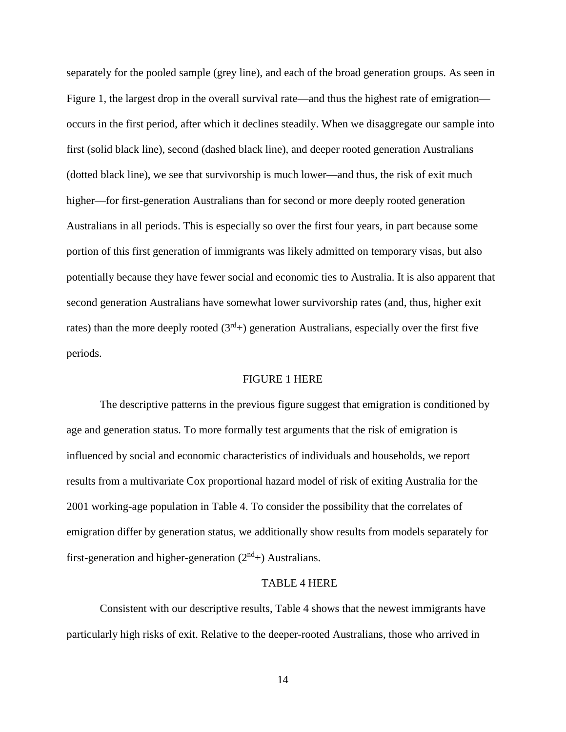separately for the pooled sample (grey line), and each of the broad generation groups. As seen in Figure 1, the largest drop in the overall survival rate—and thus the highest rate of emigration occurs in the first period, after which it declines steadily. When we disaggregate our sample into first (solid black line), second (dashed black line), and deeper rooted generation Australians (dotted black line), we see that survivorship is much lower—and thus, the risk of exit much higher—for first-generation Australians than for second or more deeply rooted generation Australians in all periods. This is especially so over the first four years, in part because some portion of this first generation of immigrants was likely admitted on temporary visas, but also potentially because they have fewer social and economic ties to Australia. It is also apparent that second generation Australians have somewhat lower survivorship rates (and, thus, higher exit rates) than the more deeply rooted  $(3<sup>rd</sup>)$  generation Australians, especially over the first five periods.

#### FIGURE 1 HERE

The descriptive patterns in the previous figure suggest that emigration is conditioned by age and generation status. To more formally test arguments that the risk of emigration is influenced by social and economic characteristics of individuals and households, we report results from a multivariate Cox proportional hazard model of risk of exiting Australia for the 2001 working-age population in Table 4. To consider the possibility that the correlates of emigration differ by generation status, we additionally show results from models separately for first-generation and higher-generation  $(2<sup>nd</sup>)$  Australians.

#### TABLE 4 HERE

Consistent with our descriptive results, Table 4 shows that the newest immigrants have particularly high risks of exit. Relative to the deeper-rooted Australians, those who arrived in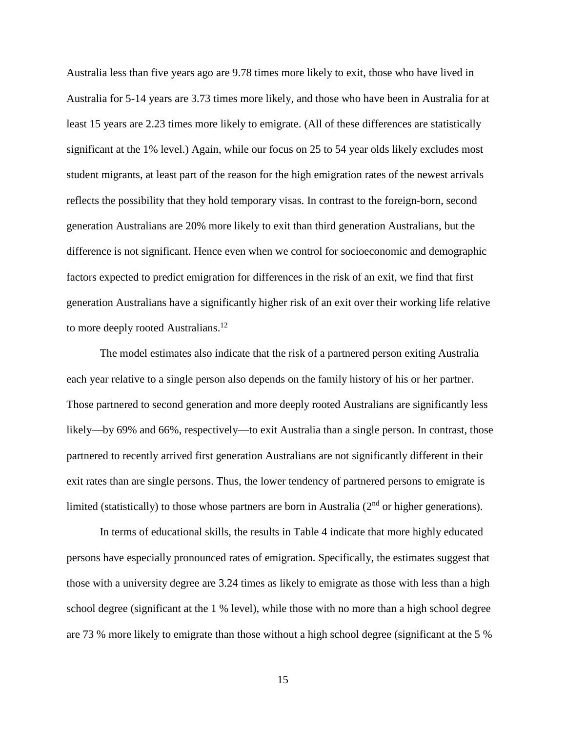Australia less than five years ago are 9.78 times more likely to exit, those who have lived in Australia for 5-14 years are 3.73 times more likely, and those who have been in Australia for at least 15 years are 2.23 times more likely to emigrate. (All of these differences are statistically significant at the 1% level.) Again, while our focus on 25 to 54 year olds likely excludes most student migrants, at least part of the reason for the high emigration rates of the newest arrivals reflects the possibility that they hold temporary visas. In contrast to the foreign-born, second generation Australians are 20% more likely to exit than third generation Australians, but the difference is not significant. Hence even when we control for socioeconomic and demographic factors expected to predict emigration for differences in the risk of an exit, we find that first generation Australians have a significantly higher risk of an exit over their working life relative to more deeply rooted Australians.<sup>12</sup>

The model estimates also indicate that the risk of a partnered person exiting Australia each year relative to a single person also depends on the family history of his or her partner. Those partnered to second generation and more deeply rooted Australians are significantly less likely—by 69% and 66%, respectively—to exit Australia than a single person. In contrast, those partnered to recently arrived first generation Australians are not significantly different in their exit rates than are single persons. Thus, the lower tendency of partnered persons to emigrate is limited (statistically) to those whose partners are born in Australia  $(2<sup>nd</sup>$  or higher generations).

In terms of educational skills, the results in Table 4 indicate that more highly educated persons have especially pronounced rates of emigration. Specifically, the estimates suggest that those with a university degree are 3.24 times as likely to emigrate as those with less than a high school degree (significant at the 1 % level), while those with no more than a high school degree are 73 % more likely to emigrate than those without a high school degree (significant at the 5 %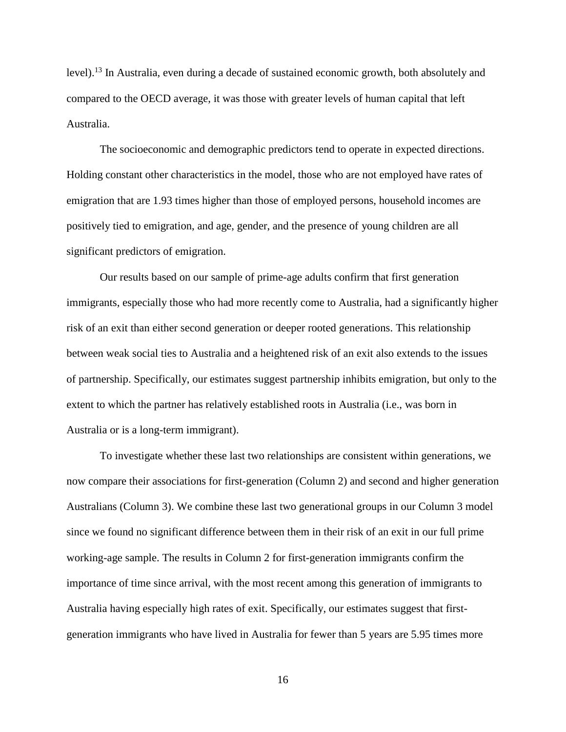level).<sup>13</sup> In Australia, even during a decade of sustained economic growth, both absolutely and compared to the OECD average, it was those with greater levels of human capital that left Australia.

The socioeconomic and demographic predictors tend to operate in expected directions. Holding constant other characteristics in the model, those who are not employed have rates of emigration that are 1.93 times higher than those of employed persons, household incomes are positively tied to emigration, and age, gender, and the presence of young children are all significant predictors of emigration.

Our results based on our sample of prime-age adults confirm that first generation immigrants, especially those who had more recently come to Australia, had a significantly higher risk of an exit than either second generation or deeper rooted generations. This relationship between weak social ties to Australia and a heightened risk of an exit also extends to the issues of partnership. Specifically, our estimates suggest partnership inhibits emigration, but only to the extent to which the partner has relatively established roots in Australia (i.e., was born in Australia or is a long-term immigrant).

To investigate whether these last two relationships are consistent within generations, we now compare their associations for first-generation (Column 2) and second and higher generation Australians (Column 3). We combine these last two generational groups in our Column 3 model since we found no significant difference between them in their risk of an exit in our full prime working-age sample. The results in Column 2 for first-generation immigrants confirm the importance of time since arrival, with the most recent among this generation of immigrants to Australia having especially high rates of exit. Specifically, our estimates suggest that firstgeneration immigrants who have lived in Australia for fewer than 5 years are 5.95 times more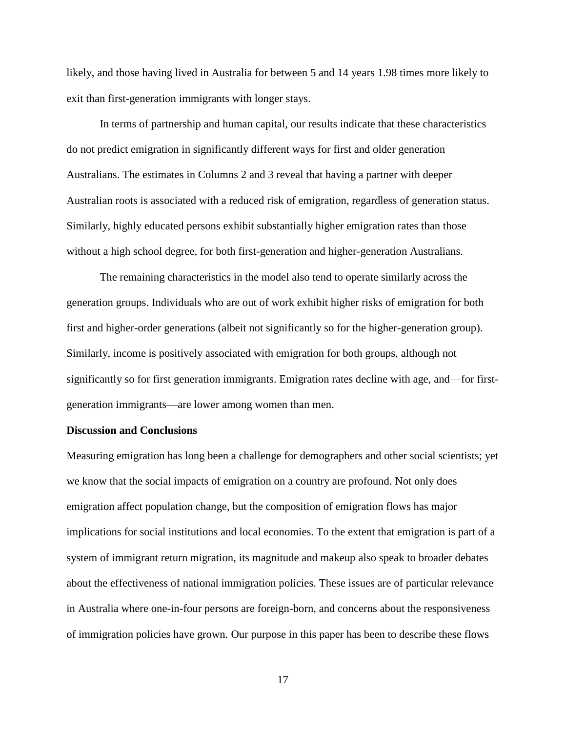likely, and those having lived in Australia for between 5 and 14 years 1.98 times more likely to exit than first-generation immigrants with longer stays.

In terms of partnership and human capital, our results indicate that these characteristics do not predict emigration in significantly different ways for first and older generation Australians. The estimates in Columns 2 and 3 reveal that having a partner with deeper Australian roots is associated with a reduced risk of emigration, regardless of generation status. Similarly, highly educated persons exhibit substantially higher emigration rates than those without a high school degree, for both first-generation and higher-generation Australians.

The remaining characteristics in the model also tend to operate similarly across the generation groups. Individuals who are out of work exhibit higher risks of emigration for both first and higher-order generations (albeit not significantly so for the higher-generation group). Similarly, income is positively associated with emigration for both groups, although not significantly so for first generation immigrants. Emigration rates decline with age, and—for firstgeneration immigrants—are lower among women than men.

#### **Discussion and Conclusions**

Measuring emigration has long been a challenge for demographers and other social scientists; yet we know that the social impacts of emigration on a country are profound. Not only does emigration affect population change, but the composition of emigration flows has major implications for social institutions and local economies. To the extent that emigration is part of a system of immigrant return migration, its magnitude and makeup also speak to broader debates about the effectiveness of national immigration policies. These issues are of particular relevance in Australia where one-in-four persons are foreign-born, and concerns about the responsiveness of immigration policies have grown. Our purpose in this paper has been to describe these flows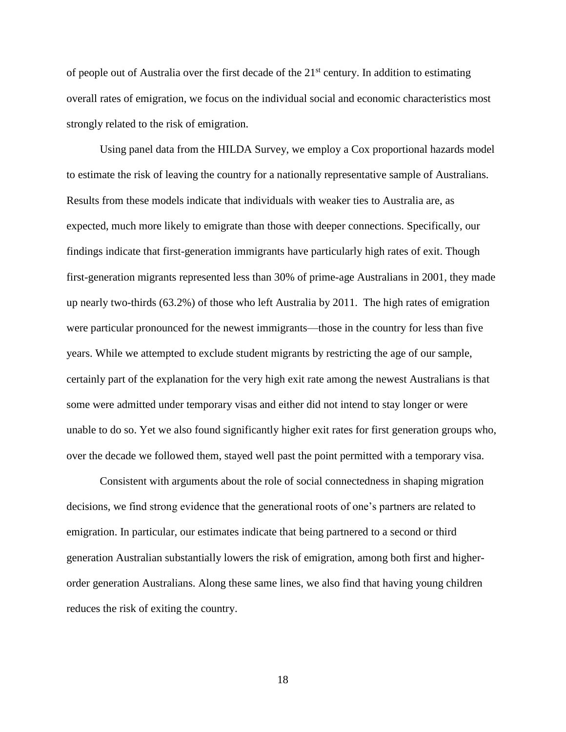of people out of Australia over the first decade of the  $21<sup>st</sup>$  century. In addition to estimating overall rates of emigration, we focus on the individual social and economic characteristics most strongly related to the risk of emigration.

Using panel data from the HILDA Survey, we employ a Cox proportional hazards model to estimate the risk of leaving the country for a nationally representative sample of Australians. Results from these models indicate that individuals with weaker ties to Australia are, as expected, much more likely to emigrate than those with deeper connections. Specifically, our findings indicate that first-generation immigrants have particularly high rates of exit. Though first-generation migrants represented less than 30% of prime-age Australians in 2001, they made up nearly two-thirds (63.2%) of those who left Australia by 2011. The high rates of emigration were particular pronounced for the newest immigrants—those in the country for less than five years. While we attempted to exclude student migrants by restricting the age of our sample, certainly part of the explanation for the very high exit rate among the newest Australians is that some were admitted under temporary visas and either did not intend to stay longer or were unable to do so. Yet we also found significantly higher exit rates for first generation groups who, over the decade we followed them, stayed well past the point permitted with a temporary visa.

Consistent with arguments about the role of social connectedness in shaping migration decisions, we find strong evidence that the generational roots of one's partners are related to emigration. In particular, our estimates indicate that being partnered to a second or third generation Australian substantially lowers the risk of emigration, among both first and higherorder generation Australians. Along these same lines, we also find that having young children reduces the risk of exiting the country.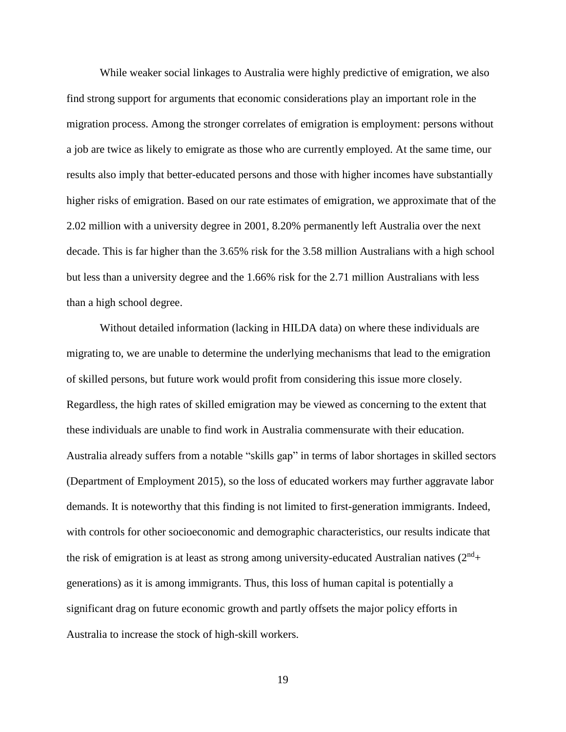While weaker social linkages to Australia were highly predictive of emigration, we also find strong support for arguments that economic considerations play an important role in the migration process. Among the stronger correlates of emigration is employment: persons without a job are twice as likely to emigrate as those who are currently employed. At the same time, our results also imply that better-educated persons and those with higher incomes have substantially higher risks of emigration. Based on our rate estimates of emigration, we approximate that of the 2.02 million with a university degree in 2001, 8.20% permanently left Australia over the next decade. This is far higher than the 3.65% risk for the 3.58 million Australians with a high school but less than a university degree and the 1.66% risk for the 2.71 million Australians with less than a high school degree.

Without detailed information (lacking in HILDA data) on where these individuals are migrating to, we are unable to determine the underlying mechanisms that lead to the emigration of skilled persons, but future work would profit from considering this issue more closely. Regardless, the high rates of skilled emigration may be viewed as concerning to the extent that these individuals are unable to find work in Australia commensurate with their education. Australia already suffers from a notable "skills gap" in terms of labor shortages in skilled sectors (Department of Employment 2015), so the loss of educated workers may further aggravate labor demands. It is noteworthy that this finding is not limited to first-generation immigrants. Indeed, with controls for other socioeconomic and demographic characteristics, our results indicate that the risk of emigration is at least as strong among university-educated Australian natives  $(2<sup>nd</sup>+$ generations) as it is among immigrants. Thus, this loss of human capital is potentially a significant drag on future economic growth and partly offsets the major policy efforts in Australia to increase the stock of high-skill workers.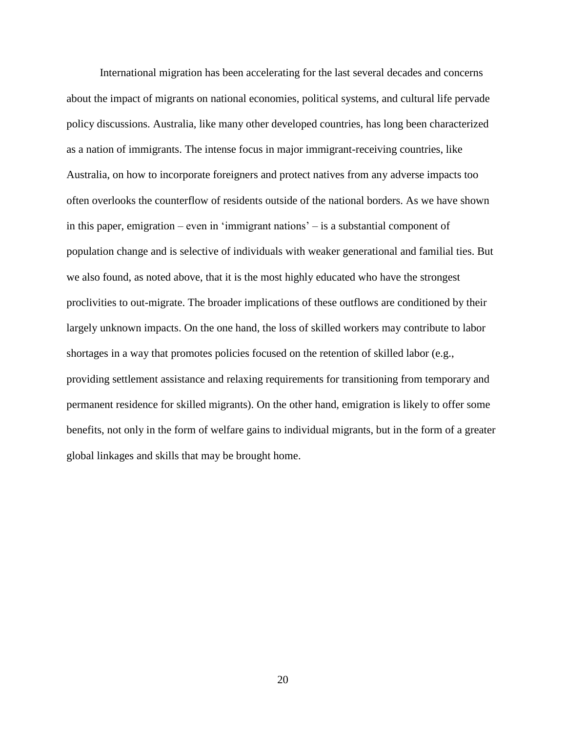International migration has been accelerating for the last several decades and concerns about the impact of migrants on national economies, political systems, and cultural life pervade policy discussions. Australia, like many other developed countries, has long been characterized as a nation of immigrants. The intense focus in major immigrant-receiving countries, like Australia, on how to incorporate foreigners and protect natives from any adverse impacts too often overlooks the counterflow of residents outside of the national borders. As we have shown in this paper, emigration – even in 'immigrant nations' – is a substantial component of population change and is selective of individuals with weaker generational and familial ties. But we also found, as noted above, that it is the most highly educated who have the strongest proclivities to out-migrate. The broader implications of these outflows are conditioned by their largely unknown impacts. On the one hand, the loss of skilled workers may contribute to labor shortages in a way that promotes policies focused on the retention of skilled labor (e.g., providing settlement assistance and relaxing requirements for transitioning from temporary and permanent residence for skilled migrants). On the other hand, emigration is likely to offer some benefits, not only in the form of welfare gains to individual migrants, but in the form of a greater global linkages and skills that may be brought home.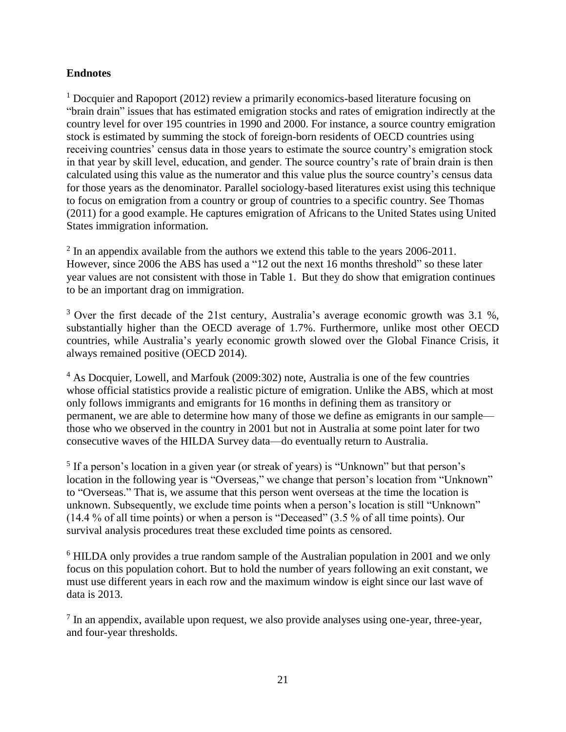#### **Endnotes**

<sup>1</sup> Docquier and Rapoport (2012) review a primarily economics-based literature focusing on "brain drain" issues that has estimated emigration stocks and rates of emigration indirectly at the country level for over 195 countries in 1990 and 2000. For instance, a source country emigration stock is estimated by summing the stock of foreign-born residents of OECD countries using receiving countries' census data in those years to estimate the source country's emigration stock in that year by skill level, education, and gender. The source country's rate of brain drain is then calculated using this value as the numerator and this value plus the source country's census data for those years as the denominator. Parallel sociology-based literatures exist using this technique to focus on emigration from a country or group of countries to a specific country. See Thomas (2011) for a good example. He captures emigration of Africans to the United States using United States immigration information.

 $2 \text{ In an appendix available from the authors we extend this table to the years } 2006-2011.$ However, since 2006 the ABS has used a "12 out the next 16 months threshold" so these later year values are not consistent with those in Table 1. But they do show that emigration continues to be an important drag on immigration.

 $3$  Over the first decade of the 21st century, Australia's average economic growth was 3.1 %, substantially higher than the OECD average of 1.7%. Furthermore, unlike most other OECD countries, while Australia's yearly economic growth slowed over the Global Finance Crisis, it always remained positive (OECD 2014).

<sup>4</sup> As Docquier, Lowell, and Marfouk (2009:302) note, Australia is one of the few countries whose official statistics provide a realistic picture of emigration. Unlike the ABS, which at most only follows immigrants and emigrants for 16 months in defining them as transitory or permanent, we are able to determine how many of those we define as emigrants in our sample those who we observed in the country in 2001 but not in Australia at some point later for two consecutive waves of the HILDA Survey data—do eventually return to Australia.

<sup>5</sup> If a person's location in a given year (or streak of years) is "Unknown" but that person's location in the following year is "Overseas," we change that person's location from "Unknown" to "Overseas." That is, we assume that this person went overseas at the time the location is unknown. Subsequently, we exclude time points when a person's location is still "Unknown" (14.4 % of all time points) or when a person is "Deceased" (3.5 % of all time points). Our survival analysis procedures treat these excluded time points as censored.

<sup>6</sup> HILDA only provides a true random sample of the Australian population in 2001 and we only focus on this population cohort. But to hold the number of years following an exit constant, we must use different years in each row and the maximum window is eight since our last wave of data is 2013.

 $<sup>7</sup>$  In an appendix, available upon request, we also provide analyses using one-year, three-year,</sup> and four-year thresholds.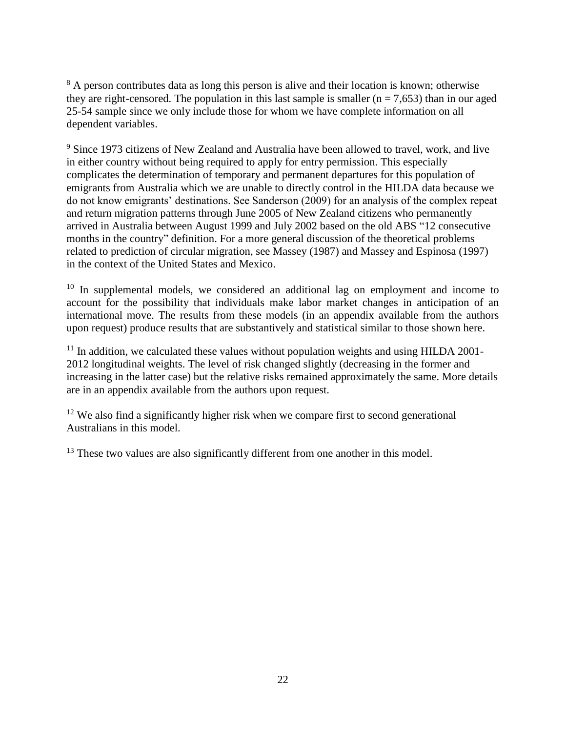<sup>8</sup> A person contributes data as long this person is alive and their location is known; otherwise they are right-censored. The population in this last sample is smaller  $(n = 7,653)$  than in our aged 25-54 sample since we only include those for whom we have complete information on all dependent variables.

<sup>9</sup> Since 1973 citizens of New Zealand and Australia have been allowed to travel, work, and live in either country without being required to apply for entry permission. This especially complicates the determination of temporary and permanent departures for this population of emigrants from Australia which we are unable to directly control in the HILDA data because we do not know emigrants' destinations. See Sanderson (2009) for an analysis of the complex repeat and return migration patterns through June 2005 of New Zealand citizens who permanently arrived in Australia between August 1999 and July 2002 based on the old ABS "12 consecutive months in the country" definition. For a more general discussion of the theoretical problems related to prediction of circular migration, see Massey (1987) and Massey and Espinosa (1997) in the context of the United States and Mexico.

 $10$  In supplemental models, we considered an additional lag on employment and income to account for the possibility that individuals make labor market changes in anticipation of an international move. The results from these models (in an appendix available from the authors upon request) produce results that are substantively and statistical similar to those shown here.

 $11$  In addition, we calculated these values without population weights and using HILDA 2001-2012 longitudinal weights. The level of risk changed slightly (decreasing in the former and increasing in the latter case) but the relative risks remained approximately the same. More details are in an appendix available from the authors upon request.

 $12$  We also find a significantly higher risk when we compare first to second generational Australians in this model.

<sup>13</sup> These two values are also significantly different from one another in this model.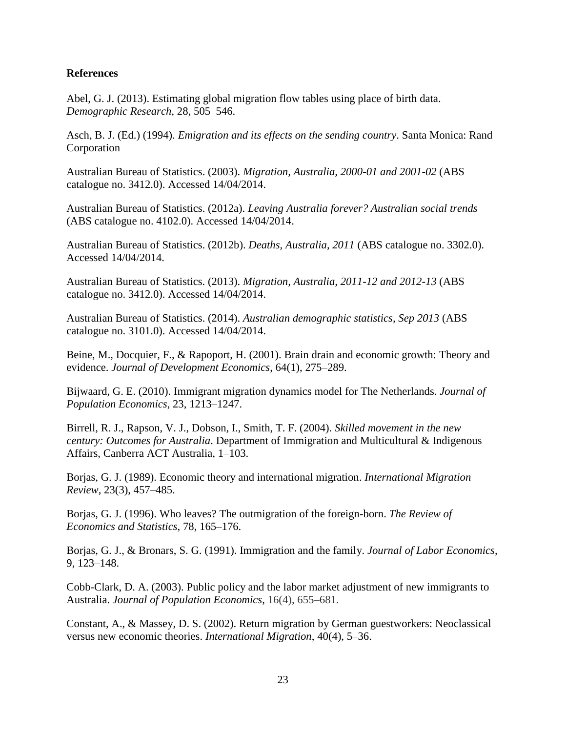#### **References**

Abel, G. J. (2013). Estimating global migration flow tables using place of birth data. *Demographic Research,* 28, 505–546.

Asch, B. J. (Ed.) (1994). *Emigration and its effects on the sending country*. Santa Monica: Rand Corporation

Australian Bureau of Statistics. (2003). *Migration, Australia, 2000-01 and 2001-02* (ABS catalogue no. 3412.0). Accessed 14/04/2014.

Australian Bureau of Statistics. (2012a). *Leaving Australia forever? Australian social trends* (ABS catalogue no. 4102.0). Accessed 14/04/2014.

Australian Bureau of Statistics. (2012b). *Deaths, Australia, 2011* (ABS catalogue no. 3302.0). Accessed 14/04/2014.

Australian Bureau of Statistics. (2013). *Migration, Australia, 2011-12 and 2012-13* (ABS catalogue no. 3412.0). Accessed 14/04/2014.

Australian Bureau of Statistics. (2014). *Australian demographic statistics, Sep 2013* (ABS catalogue no. 3101.0). Accessed 14/04/2014.

Beine, M., Docquier, F., & Rapoport, H. (2001). Brain drain and economic growth: Theory and evidence. *Journal of Development Economics*, 64(1), 275–289.

Bijwaard, G. E. (2010). Immigrant migration dynamics model for The Netherlands. *Journal of Population Economics*, 23, 1213–1247.

Birrell, R. J., Rapson, V. J., Dobson, I., Smith, T. F. (2004). *Skilled movement in the new century: Outcomes for Australia*. Department of Immigration and Multicultural & Indigenous Affairs, Canberra ACT Australia, 1–103.

Borjas, G. J. (1989). Economic theory and international migration. *International Migration Review*, 23(3), 457–485.

Borjas, G. J. (1996). Who leaves? The outmigration of the foreign-born. *The Review of Economics and Statistics*, 78, 165–176.

Borjas, G. J., & Bronars, S. G. (1991). Immigration and the family. *Journal of Labor Economics*, 9, 123–148.

Cobb-Clark, D. A. (2003). Public policy and the labor market adjustment of new immigrants to Australia. *Journal of Population Economics*, 16(4), 655–681.

Constant, A., & Massey, D. S. (2002). Return migration by German guestworkers: Neoclassical versus new economic theories. *International Migration*, 40(4), 5–36.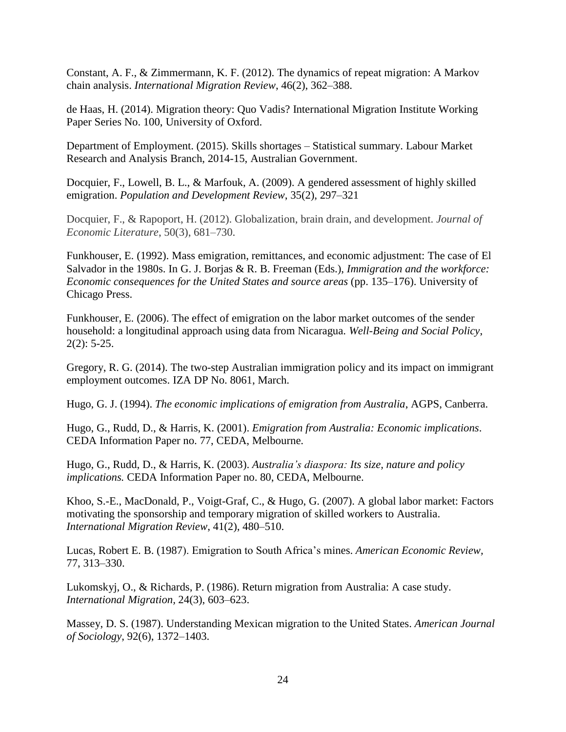Constant, A. F., & Zimmermann, K. F. (2012). The dynamics of repeat migration: A Markov chain analysis. *International Migration Review*, 46(2), 362–388.

de Haas, H. (2014). Migration theory: Quo Vadis? International Migration Institute Working Paper Series No. 100, University of Oxford.

Department of Employment. (2015). Skills shortages – Statistical summary. Labour Market Research and Analysis Branch, 2014-15, Australian Government.

Docquier, F., Lowell, B. L., & Marfouk, A. (2009). A gendered assessment of highly skilled emigration. *Population and Development Review*, 35(2), 297–321

Docquier, F., & Rapoport, H. (2012). Globalization, brain drain, and development. *Journal of Economic Literature*, 50(3), 681–730.

Funkhouser, E. (1992). Mass emigration, remittances, and economic adjustment: The case of El Salvador in the 1980s. In G. J. Borjas & R. B. Freeman (Eds.), *Immigration and the workforce: Economic consequences for the United States and source areas* (pp. 135–176). University of Chicago Press.

Funkhouser, E. (2006). The effect of emigration on the labor market outcomes of the sender household: a longitudinal approach using data from Nicaragua. *Well-Being and Social Policy*,  $2(2): 5-25.$ 

Gregory, R. G. (2014). The two-step Australian immigration policy and its impact on immigrant employment outcomes. IZA DP No. 8061, March.

Hugo, G. J. (1994). *The economic implications of emigration from Australia*, AGPS, Canberra.

Hugo, G., Rudd, D., & Harris, K. (2001). *Emigration from Australia: Economic implications*. CEDA Information Paper no. 77, CEDA, Melbourne.

Hugo, G., Rudd, D., & Harris, K. (2003). *Australia's diaspora: Its size, nature and policy implications.* CEDA Information Paper no. 80, CEDA, Melbourne.

Khoo, S.-E., MacDonald, P., Voigt-Graf, C., & Hugo, G. (2007). A global labor market: Factors motivating the sponsorship and temporary migration of skilled workers to Australia. *International Migration Review*, 41(2), 480–510.

Lucas, Robert E. B. (1987). Emigration to South Africa's mines. *American Economic Review,* 77, 313–330.

Lukomskyj, O., & Richards, P. (1986). Return migration from Australia: A case study. *International Migration,* 24(3), 603–623.

Massey, D. S. (1987). Understanding Mexican migration to the United States. *American Journal of Sociology*, 92(6), 1372–1403.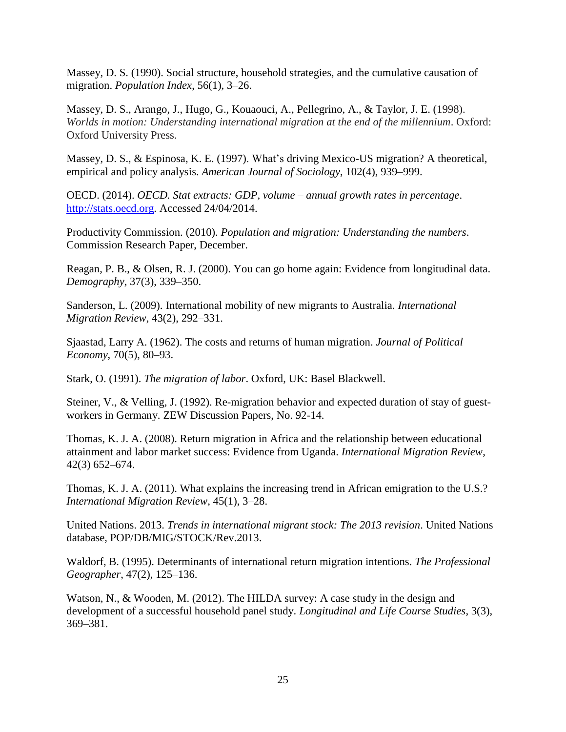Massey, D. S. (1990). Social structure, household strategies, and the cumulative causation of migration. *Population Index*, 56(1), 3–26.

Massey, D. S., [Arango,](http://www.google.com.au/search?tbo=p&tbm=bks&q=inauthor:%22Joaquin+Arango%22) J., [Hugo,](http://www.google.com.au/search?tbo=p&tbm=bks&q=inauthor:%22Graeme+Hugo%22) G., [Kouaouci,](http://www.google.com.au/search?tbo=p&tbm=bks&q=inauthor:%22Ali+Kouaouci%22) A., [Pellegrino,](http://www.google.com.au/search?tbo=p&tbm=bks&q=inauthor:%22Adela+Pellegrino%22) A., & Taylor, J. E. (1998). *Worlds in motion: Understanding international migration at the end of the millennium*. Oxford: Oxford University Press.

Massey, D. S., & Espinosa, K. E. (1997). What's driving Mexico-US migration? A theoretical, empirical and policy analysis. *American Journal of Sociology*, 102(4), 939–999.

OECD. (2014). *OECD. Stat extracts: GDP, volume – annual growth rates in percentage*. [http://stats.oecd.org.](http://stats.oecd.org/) Accessed 24/04/2014.

Productivity Commission. (2010). *Population and migration: Understanding the numbers*. Commission Research Paper, December.

Reagan, P. B., & Olsen, R. J. (2000). You can go home again: Evidence from longitudinal data. *Demography*, 37(3), 339–350.

Sanderson, L. (2009). International mobility of new migrants to Australia. *International Migration Review*, 43(2), 292–331.

Sjaastad, Larry A. (1962). The costs and returns of human migration. *Journal of Political Economy*, 70(5), 80–93.

Stark, O. (1991). *The migration of labor*. Oxford, UK: Basel Blackwell.

Steiner, V., & Velling, J. (1992). Re-migration behavior and expected duration of stay of guestworkers in Germany. ZEW Discussion Papers, No. 92-14.

Thomas, K. J. A. (2008). Return migration in Africa and the relationship between educational attainment and labor market success: Evidence from Uganda. *International Migration Review*, 42(3) 652–674.

Thomas, K. J. A. (2011). What explains the increasing trend in African emigration to the U.S.? *International Migration Review*, 45(1), 3–28.

United Nations. 2013. *Trends in international migrant stock: The 2013 revision*. United Nations database, POP/DB/MIG/STOCK/Rev.2013.

Waldorf, B. (1995). Determinants of international return migration intentions. *The Professional Geographer*, 47(2), 125–136.

Watson, N., & Wooden, M. (2012). The HILDA survey: A case study in the design and development of a successful household panel study. *Longitudinal and Life Course Studies*, 3(3), 369–381.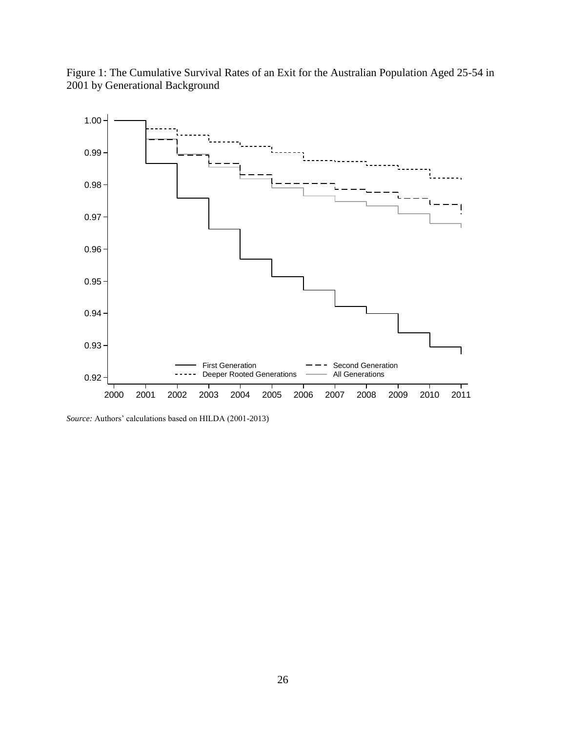



*Source:* Authors' calculations based on HILDA (2001-2013)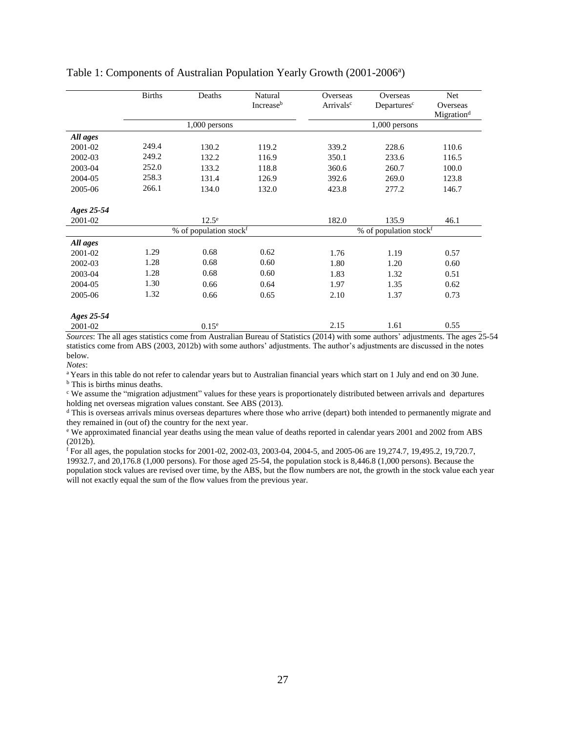|            | <b>Births</b>          | Deaths            | Natural<br>Increaseb | Overseas<br>Arrivals <sup>c</sup> | Overseas<br>Departures <sup>c</sup> | Net<br>Overseas        |  |
|------------|------------------------|-------------------|----------------------|-----------------------------------|-------------------------------------|------------------------|--|
|            |                        |                   |                      |                                   |                                     | Migration <sup>d</sup> |  |
|            |                        | 1,000 persons     |                      |                                   | 1,000 persons                       |                        |  |
| All ages   |                        |                   |                      |                                   |                                     |                        |  |
| 2001-02    | 249.4                  | 130.2             | 119.2                | 339.2                             | 228.6                               | 110.6                  |  |
| 2002-03    | 249.2                  | 132.2             | 116.9                | 350.1                             | 233.6                               | 116.5                  |  |
| 2003-04    | 252.0                  | 133.2             | 118.8                | 360.6                             | 260.7                               | 100.0                  |  |
| 2004-05    | 258.3                  | 131.4             | 126.9                | 392.6                             | 269.0                               | 123.8                  |  |
| 2005-06    | 266.1                  | 134.0             | 132.0                | 423.8                             | 277.2                               | 146.7                  |  |
| Ages 25-54 |                        |                   |                      |                                   |                                     |                        |  |
| 2001-02    |                        | $12.5^e$          |                      | 182.0                             | 135.9                               | 46.1                   |  |
|            | % of population stockf |                   |                      | % of population stockf            |                                     |                        |  |
| All ages   |                        |                   |                      |                                   |                                     |                        |  |
| 2001-02    | 1.29                   | 0.68              | 0.62                 | 1.76                              | 1.19                                | 0.57                   |  |
| 2002-03    | 1.28                   | 0.68              | 0.60                 | 1.80                              | 1.20                                | 0.60                   |  |
| 2003-04    | 1.28                   | 0.68              | 0.60                 | 1.83                              | 1.32                                | 0.51                   |  |
| 2004-05    | 1.30                   | 0.66              | 0.64                 | 1.97                              | 1.35                                | 0.62                   |  |
| 2005-06    | 1.32                   | 0.66              | 0.65                 | 2.10                              | 1.37                                | 0.73                   |  |
| Ages 25-54 |                        |                   |                      |                                   |                                     |                        |  |
| 2001-02    |                        | 0.15 <sup>e</sup> |                      | 2.15                              | 1.61                                | 0.55                   |  |

#### Table 1: Components of Australian Population Yearly Growth (2001-2006<sup>a</sup>)

*Sources*: The all ages statistics come from Australian Bureau of Statistics (2014) with some authors' adjustments. The ages 25-54 statistics come from ABS (2003, 2012b) with some authors' adjustments. The author's adjustments are discussed in the notes below.

*Notes*:

<sup>a</sup>Years in this table do not refer to calendar years but to Australian financial years which start on 1 July and end on 30 June. <sup>b</sup> This is births minus deaths.

<sup>c</sup> We assume the "migration adjustment" values for these years is proportionately distributed between arrivals and departures holding net overseas migration values constant. See ABS (2013).

<sup>d</sup> This is overseas arrivals minus overseas departures where those who arrive (depart) both intended to permanently migrate and they remained in (out of) the country for the next year.

<sup>e</sup> We approximated financial year deaths using the mean value of deaths reported in calendar years 2001 and 2002 from ABS (2012b).

<sup>f</sup> For all ages, the population stocks for 2001-02, 2002-03, 2003-04, 2004-5, and 2005-06 are 19,274.7, 19,495.2, 19,720.7, 19932.7, and 20,176.8 (1,000 persons). For those aged 25-54, the population stock is 8,446.8 (1,000 persons). Because the population stock values are revised over time, by the ABS, but the flow numbers are not, the growth in the stock value each year will not exactly equal the sum of the flow values from the previous year.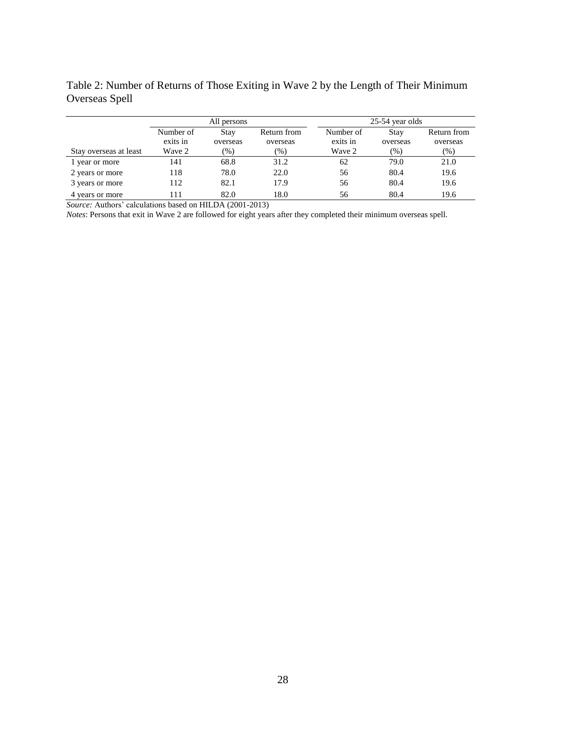Table 2: Number of Returns of Those Exiting in Wave 2 by the Length of Their Minimum Overseas Spell

|                        | All persons           |                         |                         | 25-54 year olds       |                  |                         |  |
|------------------------|-----------------------|-------------------------|-------------------------|-----------------------|------------------|-------------------------|--|
|                        | Number of<br>exits in | <b>Stav</b><br>overseas | Return from<br>overseas | Number of<br>exits in | Stay<br>overseas | Return from<br>overseas |  |
| Stay overseas at least | Wave 2                | $(\%)$                  | (%)                     | Wave 2                | $(\%)$           | $(\%)$                  |  |
| 1 year or more         | 141                   | 68.8                    | 31.2                    | 62                    | 79.0             | 21.0                    |  |
| 2 years or more        | 118                   | 78.0                    | 22.0                    | 56                    | 80.4             | 19.6                    |  |
| 3 years or more        | 112                   | 82.1                    | 17.9                    | 56                    | 80.4             | 19.6                    |  |
| 4 years or more        | 111                   | 82.0                    | 18.0                    | 56                    | 80.4             | 19.6                    |  |

*Source:* Authors' calculations based on HILDA (2001-2013)

*Notes*: Persons that exit in Wave 2 are followed for eight years after they completed their minimum overseas spell.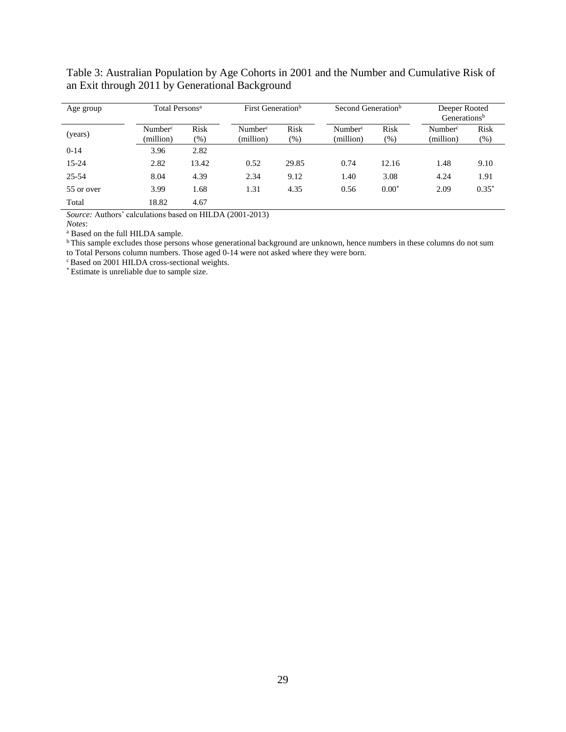| Age group  | Total Persons <sup>a</sup>       |                | First Generation <sup>b</sup>    |                | Second Generation <sup>b</sup>   |                | Deeper Rooted<br>Generations <sup>b</sup> |             |
|------------|----------------------------------|----------------|----------------------------------|----------------|----------------------------------|----------------|-------------------------------------------|-------------|
| (years)    | Number <sup>c</sup><br>(million) | Risk<br>$(\%)$ | Number <sup>c</sup><br>(million) | Risk<br>$(\%)$ | Number <sup>c</sup><br>(million) | Risk<br>$(\%)$ | Number <sup>c</sup><br>(million)          | Risk<br>(%) |
| $0 - 14$   | 3.96                             | 2.82           |                                  |                |                                  |                |                                           |             |
| $15 - 24$  | 2.82                             | 13.42          | 0.52                             | 29.85          | 0.74                             | 12.16          | 1.48                                      | 9.10        |
| $25 - 54$  | 8.04                             | 4.39           | 2.34                             | 9.12           | 1.40                             | 3.08           | 4.24                                      | 1.91        |
| 55 or over | 3.99                             | 1.68           | 1.31                             | 4.35           | 0.56                             | $0.00*$        | 2.09                                      | $0.35*$     |
| Total      | 18.82<br>.                       | 4.67           |                                  |                |                                  |                |                                           |             |

Table 3: Australian Population by Age Cohorts in 2001 and the Number and Cumulative Risk of an Exit through 2011 by Generational Background

*Source:* Authors' calculations based on HILDA (2001-2013)

*Notes*:

<sup>a</sup> Based on the full HILDA sample.

<sup>b</sup>This sample excludes those persons whose generational background are unknown, hence numbers in these columns do not sum to Total Persons column numbers. Those aged 0-14 were not asked where they were born.

<sup>c</sup> Based on 2001 HILDA cross-sectional weights.

\* Estimate is unreliable due to sample size.